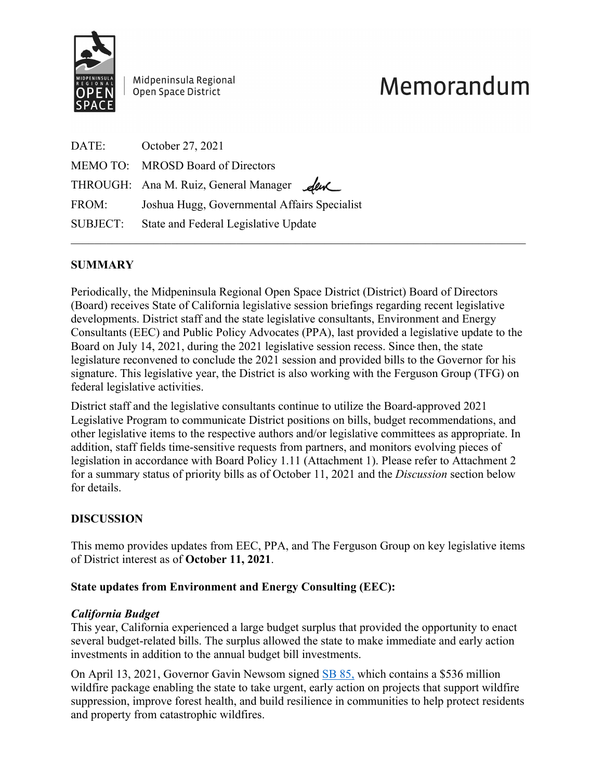

Midpeninsula Regional Open Space District

# Memorandum

|       | DATE: October 27, 2021                        |
|-------|-----------------------------------------------|
|       | MEMO TO: MROSD Board of Directors             |
|       | THROUGH: Ana M. Ruiz, General Manager         |
| FROM: | Joshua Hugg, Governmental Affairs Specialist  |
|       | SUBJECT: State and Federal Legislative Update |
|       |                                               |

## **SUMMARY**

Periodically, the Midpeninsula Regional Open Space District (District) Board of Directors (Board) receives State of California legislative session briefings regarding recent legislative developments. District staff and the state legislative consultants, Environment and Energy Consultants (EEC) and Public Policy Advocates (PPA), last provided a legislative update to the Board on July 14, 2021, during the 2021 legislative session recess. Since then, the state legislature reconvened to conclude the 2021 session and provided bills to the Governor for his signature. This legislative year, the District is also working with the Ferguson Group (TFG) on federal legislative activities.

District staff and the legislative consultants continue to utilize the Board-approved 2021 Legislative Program to communicate District positions on bills, budget recommendations, and other legislative items to the respective authors and/or legislative committees as appropriate. In addition, staff fields time-sensitive requests from partners, and monitors evolving pieces of legislation in accordance with Board Policy 1.11 (Attachment 1). Please refer to Attachment 2 for a summary status of priority bills as of October 11, 2021 and the *Discussion* section below for details.

## **DISCUSSION**

This memo provides updates from EEC, PPA, and The Ferguson Group on key legislative items of District interest as of **October 11, 2021**.

### **State updates from Environment and Energy Consulting (EEC):**

### *California Budget*

This year, California experienced a large budget surplus that provided the opportunity to enact several budget-related bills. The surplus allowed the state to make immediate and early action investments in addition to the annual budget bill investments.

On April 13, 2021, Governor Gavin Newsom signed [SB 85,](https://leginfo.legislature.ca.gov/faces/billNavClient.xhtml?bill_id=202120220SB85) which contains a \$536 million wildfire package enabling the state to take urgent, early action on projects that support wildfire suppression, improve forest health, and build resilience in communities to help protect residents and property from catastrophic wildfires.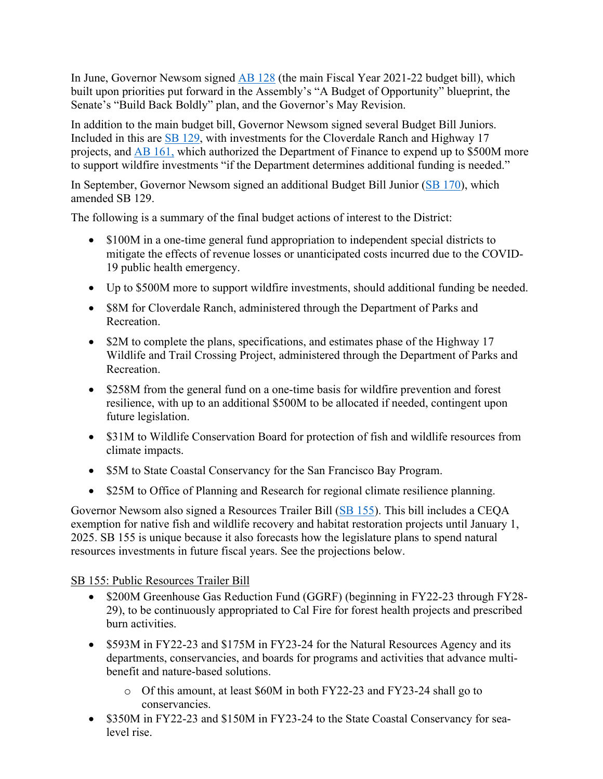In June, Governor Newsom signed [AB 128](https://leginfo.legislature.ca.gov/faces/billNavClient.xhtml?bill_id=202120220AB128) (the main Fiscal Year 2021-22 budget bill), which built upon priorities put forward in the Assembly's "A Budget of Opportunity" blueprint, the Senate's "Build Back Boldly" plan, and the Governor's May Revision.

In addition to the main budget bill, Governor Newsom signed several Budget Bill Juniors. Included in this are [SB 129,](https://leginfo.legislature.ca.gov/faces/billNavClient.xhtml?bill_id=202120220SB129) with investments for the Cloverdale Ranch and Highway 17 projects, and [AB 161,](https://leginfo.legislature.ca.gov/faces/billNavClient.xhtml?bill_id=202120220AB161) which authorized the Department of Finance to expend up to \$500M more to support wildfire investments "if the Department determines additional funding is needed."

In September, Governor Newsom signed an additional Budget Bill Junior [\(SB 170\)](https://leginfo.legislature.ca.gov/faces/billNavClient.xhtml?bill_id=202120220SB170), which amended SB 129.

The following is a summary of the final budget actions of interest to the District:

- \$100M in a one-time general fund appropriation to independent special districts to mitigate the effects of revenue losses or unanticipated costs incurred due to the COVID-19 public health emergency.
- Up to \$500M more to support wildfire investments, should additional funding be needed.
- \$8M for Cloverdale Ranch, administered through the Department of Parks and Recreation.
- \$2M to complete the plans, specifications, and estimates phase of the Highway 17 Wildlife and Trail Crossing Project, administered through the Department of Parks and Recreation.
- \$258M from the general fund on a one-time basis for wildfire prevention and forest resilience, with up to an additional \$500M to be allocated if needed, contingent upon future legislation.
- \$31M to Wildlife Conservation Board for protection of fish and wildlife resources from climate impacts.
- \$5M to State Coastal Conservancy for the San Francisco Bay Program.
- \$25M to Office of Planning and Research for regional climate resilience planning.

Governor Newsom also signed a Resources Trailer Bill [\(SB 155\)](https://leginfo.legislature.ca.gov/faces/billNavClient.xhtml?bill_id=202120220SB155). This bill includes a CEQA exemption for native fish and wildlife recovery and habitat restoration projects until January 1, 2025. SB 155 is unique because it also forecasts how the legislature plans to spend natural resources investments in future fiscal years. See the projections below.

### SB 155: Public Resources Trailer Bill

- \$200M Greenhouse Gas Reduction Fund (GGRF) (beginning in FY22-23 through FY28-29), to be continuously appropriated to Cal Fire for forest health projects and prescribed burn activities.
- \$593M in FY22-23 and \$175M in FY23-24 for the Natural Resources Agency and its departments, conservancies, and boards for programs and activities that advance multibenefit and nature-based solutions.
	- o Of this amount, at least \$60M in both FY22-23 and FY23-24 shall go to conservancies.
- \$350M in FY22-23 and \$150M in FY23-24 to the State Coastal Conservancy for sealevel rise.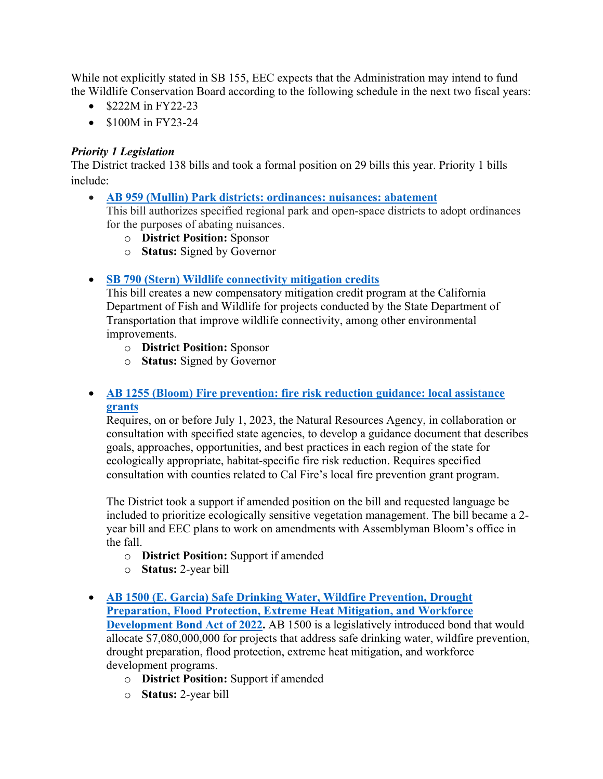While not explicitly stated in SB 155, EEC expects that the Administration may intend to fund the Wildlife Conservation Board according to the following schedule in the next two fiscal years:

- \$222M in FY22-23
- \$100M in FY23-24

#### *Priority 1 Legislation*

The District tracked 138 bills and took a formal position on 29 bills this year. Priority 1 bills include:

- **[AB 959 \(Mullin\) Park districts: ordinances: nuisances: abatement](https://leginfo.legislature.ca.gov/faces/billNavClient.xhtml?bill_id=202120220AB959)** This bill authorizes specified regional park and open-space districts to adopt ordinances for the purposes of abating nuisances.
	- o **District Position:** Sponsor
	- o **Status:** Signed by Governor

### • **[SB](https://leginfo.legislature.ca.gov/faces/billNavClient.xhtml?bill_id=202120220SB790) 790 (Stern) Wildlife connectivity mitigation credits**

This bill creates a new compensatory mitigation credit program at the California Department of Fish and Wildlife for projects conducted by the State Department of Transportation that improve wildlife connectivity, among other environmental improvements.

- o **District Position:** Sponsor
- o **Status:** Signed by Governor

### • **[AB 1255 \(Bloom\) Fire prevention: fire risk reduction guidance: local assistance](https://leginfo.legislature.ca.gov/faces/billNavClient.xhtml?bill_id=202120220AB1255)  [grants](https://leginfo.legislature.ca.gov/faces/billNavClient.xhtml?bill_id=202120220AB1255)**

Requires, on or before July 1, 2023, the Natural Resources Agency, in collaboration or consultation with specified state agencies, to develop a guidance document that describes goals, approaches, opportunities, and best practices in each region of the state for ecologically appropriate, habitat-specific fire risk reduction. Requires specified consultation with counties related to Cal Fire's local fire prevention grant program.

The District took a support if amended position on the bill and requested language be included to prioritize ecologically sensitive vegetation management. The bill became a 2 year bill and EEC plans to work on amendments with Assemblyman Bloom's office in the fall.

- o **District Position:** Support if amended
- o **Status:** 2-year bill
- **[AB 1500 \(E. Garcia\) Safe Drinking Water, Wildfire Prevention, Drought](https://leginfo.legislature.ca.gov/faces/billNavClient.xhtml?bill_id=202120220AB1500)  [Preparation, Flood Protection, Extreme Heat Mitigation, and Workforce](https://leginfo.legislature.ca.gov/faces/billNavClient.xhtml?bill_id=202120220AB1500)  [Development Bond Act of 2022.](https://leginfo.legislature.ca.gov/faces/billNavClient.xhtml?bill_id=202120220AB1500)** AB 1500 is a legislatively introduced bond that would allocate \$7,080,000,000 for projects that address safe drinking water, wildfire prevention, drought preparation, flood protection, extreme heat mitigation, and workforce development programs.
	- o **District Position:** Support if amended
	- o **Status:** 2-year bill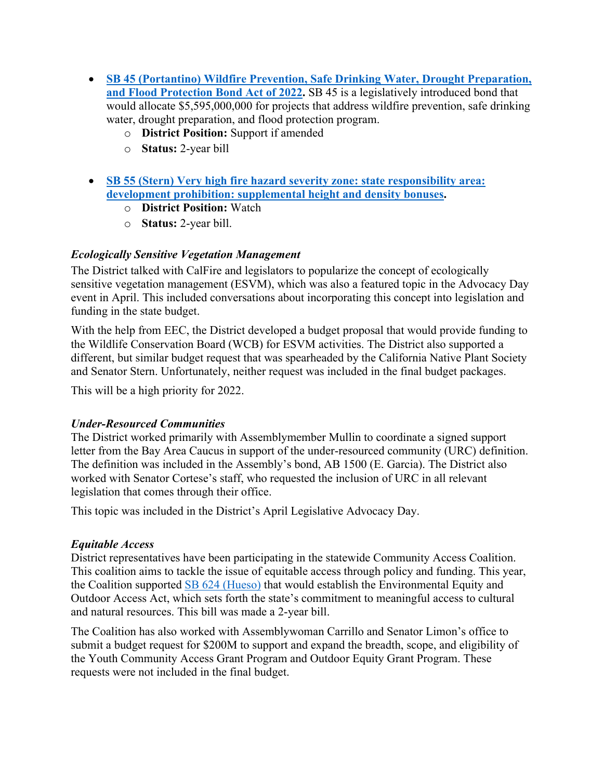- **[SB 45 \(Portantino\) Wildfire Prevention, Safe Drinking Water, Drought Preparation,](https://leginfo.legislature.ca.gov/faces/billNavClient.xhtml?bill_id=202120220SB45)**  [and Flood Protection Bond Act of 2022.](https://leginfo.legislature.ca.gov/faces/billNavClient.xhtml?bill_id=202120220SB45) SB 45 is a legislatively introduced bond that would allocate \$5,595,000,000 for projects that address wildfire prevention, safe drinking water, drought preparation, and flood protection program.
	- o **District Position:** Support if amended
	- o **Status:** 2-year bill
- **[SB 55 \(Stern\) Very high fire hazard severity zone: state responsibility area:](https://leginfo.legislature.ca.gov/faces/billNavClient.xhtml?bill_id=202120220SB55)  [development prohibition: supplemental height and density bonuses.](https://leginfo.legislature.ca.gov/faces/billNavClient.xhtml?bill_id=202120220SB55)**
	- o **District Position:** Watch
	- o **Status:** 2-year bill.

## *Ecologically Sensitive Vegetation Management*

The District talked with CalFire and legislators to popularize the concept of ecologically sensitive vegetation management (ESVM), which was also a featured topic in the Advocacy Day event in April. This included conversations about incorporating this concept into legislation and funding in the state budget.

With the help from EEC, the District developed a budget proposal that would provide funding to the Wildlife Conservation Board (WCB) for ESVM activities. The District also supported a different, but similar budget request that was spearheaded by the California Native Plant Society and Senator Stern. Unfortunately, neither request was included in the final budget packages.

This will be a high priority for 2022.

### *Under-Resourced Communities*

The District worked primarily with Assemblymember Mullin to coordinate a signed support letter from the Bay Area Caucus in support of the under-resourced community (URC) definition. The definition was included in the Assembly's bond, AB 1500 (E. Garcia). The District also worked with Senator Cortese's staff, who requested the inclusion of URC in all relevant legislation that comes through their office.

This topic was included in the District's April Legislative Advocacy Day.

### *Equitable Access*

District representatives have been participating in the statewide Community Access Coalition. This coalition aims to tackle the issue of equitable access through policy and funding. This year, the Coalition supported [SB 624 \(Hueso\)](https://leginfo.legislature.ca.gov/faces/billNavClient.xhtml?bill_id=202120220SB624) that would establish the Environmental Equity and Outdoor Access Act, which sets forth the state's commitment to meaningful access to cultural and natural resources. This bill was made a 2-year bill.

The Coalition has also worked with Assemblywoman Carrillo and Senator Limon's office to submit a budget request for \$200M to support and expand the breadth, scope, and eligibility of the Youth Community Access Grant Program and Outdoor Equity Grant Program. These requests were not included in the final budget.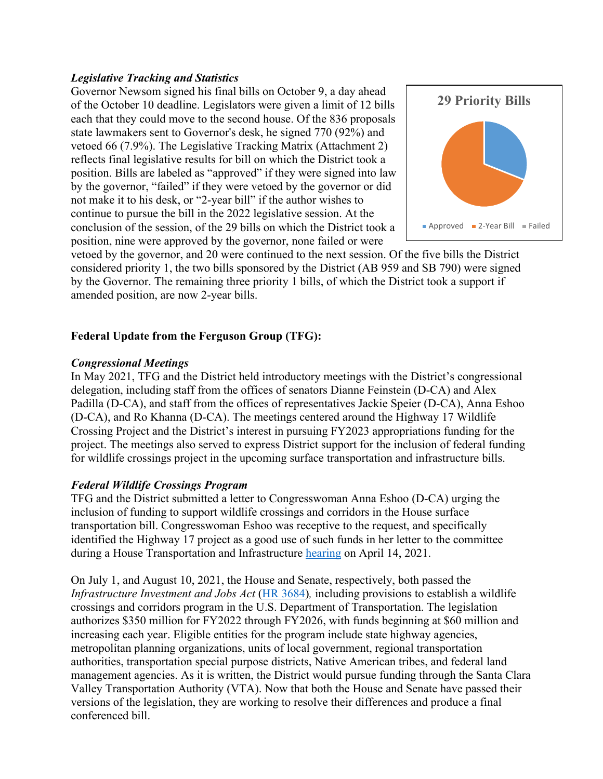#### *Legislative Tracking and Statistics*

Governor Newsom signed his final bills on October 9, a day ahead of the October 10 deadline. Legislators were given a limit of 12 bills each that they could move to the second house. Of the 836 proposals state lawmakers sent to Governor's desk, he signed 770 (92%) and vetoed 66 (7.9%). The Legislative Tracking Matrix (Attachment 2) reflects final legislative results for bill on which the District took a position. Bills are labeled as "approved" if they were signed into law by the governor, "failed" if they were vetoed by the governor or did not make it to his desk, or "2-year bill" if the author wishes to continue to pursue the bill in the 2022 legislative session. At the conclusion of the session, of the 29 bills on which the District took a position, nine were approved by the governor, none failed or were



vetoed by the governor, and 20 were continued to the next session. Of the five bills the District considered priority 1, the two bills sponsored by the District (AB 959 and SB 790) were signed by the Governor. The remaining three priority 1 bills, of which the District took a support if amended position, are now 2-year bills.

### **Federal Update from the Ferguson Group (TFG):**

#### *Congressional Meetings*

In May 2021, TFG and the District held introductory meetings with the District's congressional delegation, including staff from the offices of senators Dianne Feinstein (D-CA) and Alex Padilla (D-CA), and staff from the offices of representatives Jackie Speier (D-CA), Anna Eshoo (D-CA), and Ro Khanna (D-CA). The meetings centered around the Highway 17 Wildlife Crossing Project and the District's interest in pursuing FY2023 appropriations funding for the project. The meetings also served to express District support for the inclusion of federal funding for wildlife crossings project in the upcoming surface transportation and infrastructure bills.

### *Federal Wildlife Crossings Program*

TFG and the District submitted a letter to Congresswoman Anna Eshoo (D-CA) urging the inclusion of funding to support wildlife crossings and corridors in the House surface transportation bill. Congresswoman Eshoo was receptive to the request, and specifically identified the Highway 17 project as a good use of such funds in her letter to the committee during a House Transportation and Infrastructure [hearing](https://transportation.house.gov/committee-activity/hearings/committee-on-transportation-and-infrastructure-members-day-hearing) on April 14, 2021.

On July 1, and August 10, 2021, the House and Senate, respectively, both passed the *Infrastructure Investment and Jobs Act* [\(HR 3684\)](https://www.congress.gov/117/bills/hr3684/BILLS-117hr3684eas.pdf)*,* including provisions to establish a wildlife crossings and corridors program in the U.S. Department of Transportation. The legislation authorizes \$350 million for FY2022 through FY2026, with funds beginning at \$60 million and increasing each year. Eligible entities for the program include state highway agencies, metropolitan planning organizations, units of local government, regional transportation authorities, transportation special purpose districts, Native American tribes, and federal land management agencies. As it is written, the District would pursue funding through the Santa Clara Valley Transportation Authority (VTA). Now that both the House and Senate have passed their versions of the legislation, they are working to resolve their differences and produce a final conferenced bill.